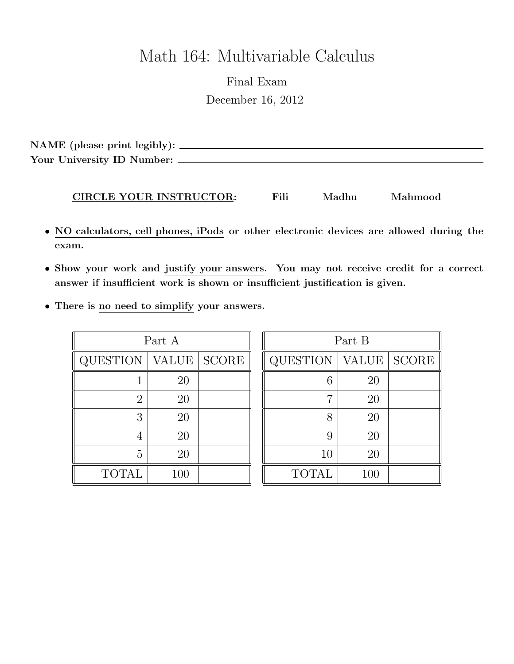# Math 164: Multivariable Calculus

Final Exam December 16, 2012

NAME (please print legibly): Your University ID Number:

#### CIRCLE YOUR INSTRUCTOR: Fili Madhu Mahmood

- NO calculators, cell phones, iPods or other electronic devices are allowed during the exam.
- Show your work and justify your answers. You may not receive credit for a correct answer if insufficient work is shown or insufficient justification is given.
- There is no need to simplify your answers.

| Part A          |              |              |  |
|-----------------|--------------|--------------|--|
| <b>QUESTION</b> | <b>VALUE</b> | <b>SCORE</b> |  |
|                 | 20           |              |  |
| $\overline{2}$  | 20           |              |  |
| 3               | 20           |              |  |
| 4               | 20           |              |  |
| 5               | 20           |              |  |
| <b>TOTAL</b>    | 100          |              |  |

| Part B          |              |              |
|-----------------|--------------|--------------|
| <b>QUESTION</b> | <b>VALUE</b> | <b>SCORE</b> |
| 6               | 20           |              |
| 7               | 20           |              |
| 8               | 20           |              |
| 9               | 20           |              |
| 10              | 20           |              |
| <b>TOTAL</b>    | 100          |              |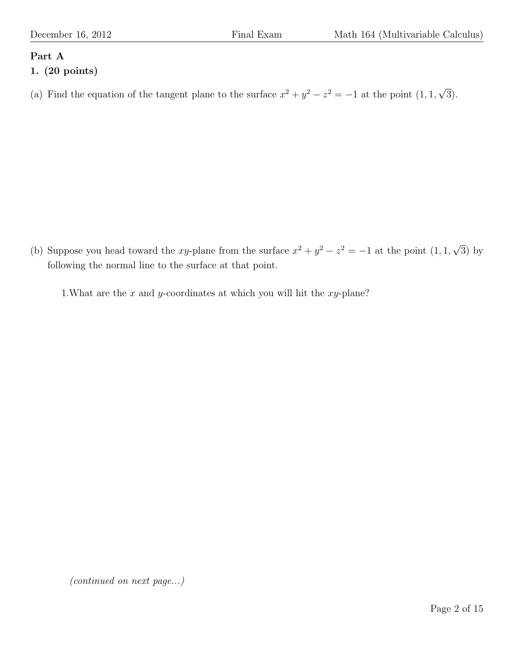# Part A

# 1. (20 points)

(a) Find the equation of the tangent plane to the surface  $x^2 + y^2 - z^2 = -1$  at the point  $(1, 1, 1)$ √ 3).

(b) Suppose you head toward the xy-plane from the surface  $x^2 + y^2 - z^2 = -1$  at the point  $(1, 1, 1)$ √ 3) by following the normal line to the surface at that point.

1. What are the  $x$  and  $y$ -coordinates at which you will hit the  $xy$ -plane?

(continued on next page...)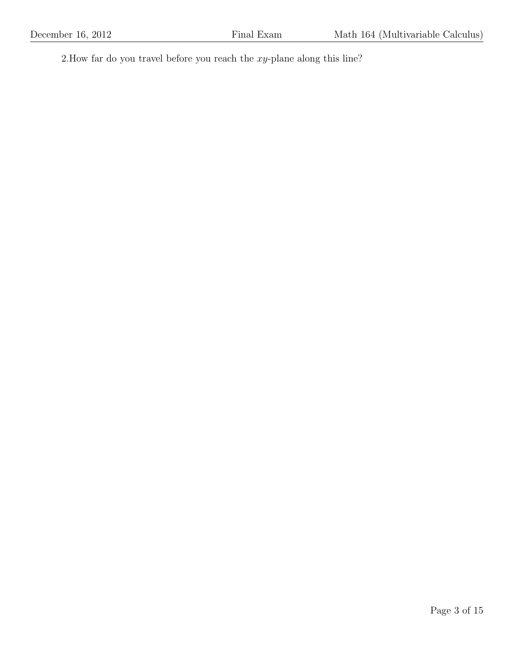2.How far do you travel before you reach the  $xy$ -plane along this line?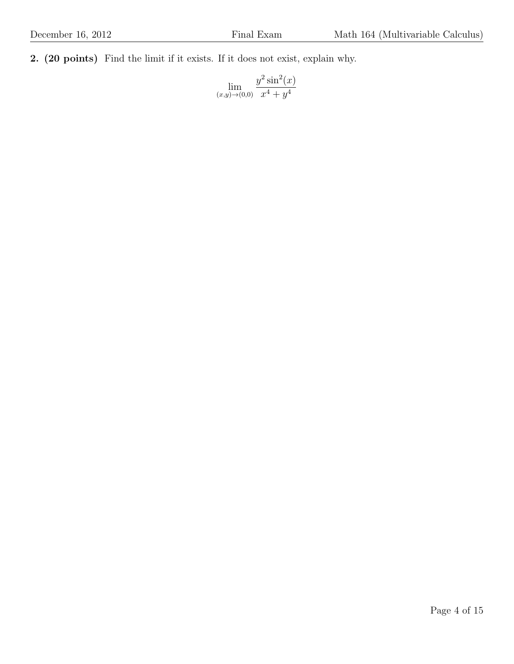2. (20 points) Find the limit if it exists. If it does not exist, explain why.

 $\lim_{(x,y)\to(0,0)}$  $y^2 \sin^2(x)$  $x^4 + y^4$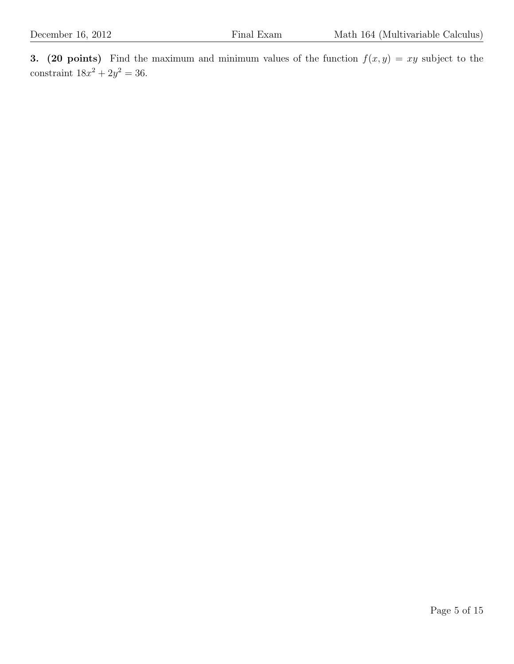3. (20 points) Find the maximum and minimum values of the function  $f(x, y) = xy$  subject to the constraint  $18x^2 + 2y^2 = 36$ .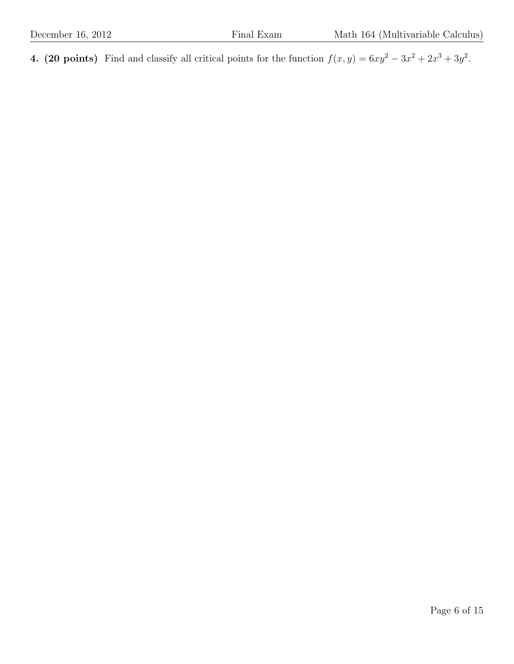4. (20 points) Find and classify all critical points for the function  $f(x, y) = 6xy^2 - 3x^2 + 2x^3 + 3y^2$ .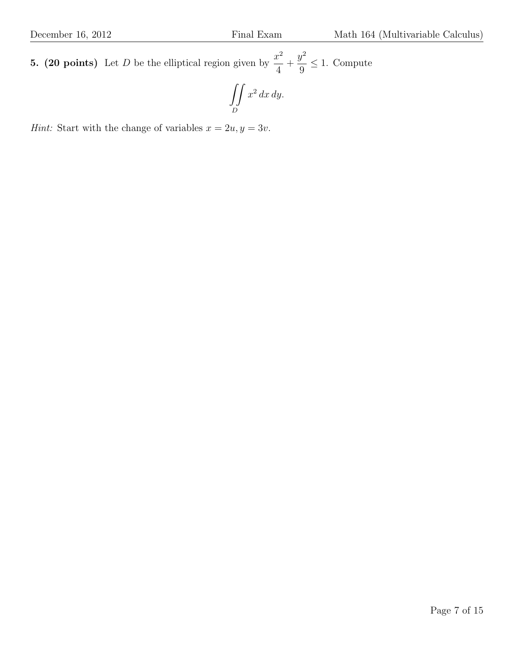**5. (20 points)** Let D be the elliptical region given by  $\frac{x^2}{4}$ 4  $+$  $y^2$ 9  $\leq 1$ . Compute

$$
\iint\limits_D x^2\,dx\,dy.
$$

Hint: Start with the change of variables  $x = 2u, y = 3v$ .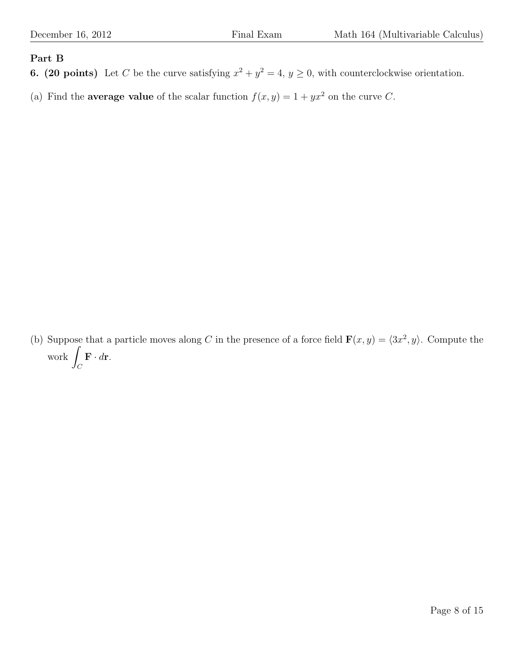## Part B

**6.** (20 points) Let C be the curve satisfying  $x^2 + y^2 = 4$ ,  $y \ge 0$ , with counterclockwise orientation.

(a) Find the **average value** of the scalar function  $f(x, y) = 1 + yx^2$  on the curve C.

(b) Suppose that a particle moves along C in the presence of a force field  $\mathbf{F}(x, y) = \langle 3x^2, y \rangle$ . Compute the work <sub>/</sub>  $\mathcal{C}_{0}^{0}$  $\mathbf{F} \cdot d\mathbf{r}$ .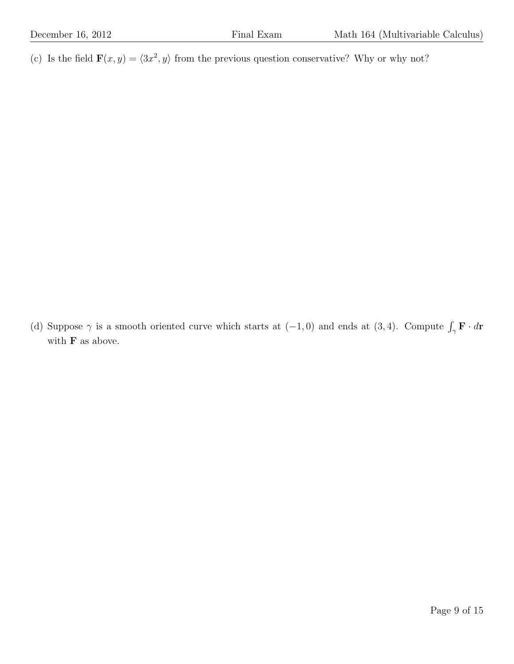(c) Is the field  $\mathbf{F}(x, y) = \langle 3x^2, y \rangle$  from the previous question conservative? Why or why not?

(d) Suppose  $\gamma$  is a smooth oriented curve which starts at  $(-1,0)$  and ends at  $(3,4)$ . Compute  $\int_{\gamma} \mathbf{F} \cdot d\mathbf{r}$ with  ${\bf F}$  as above.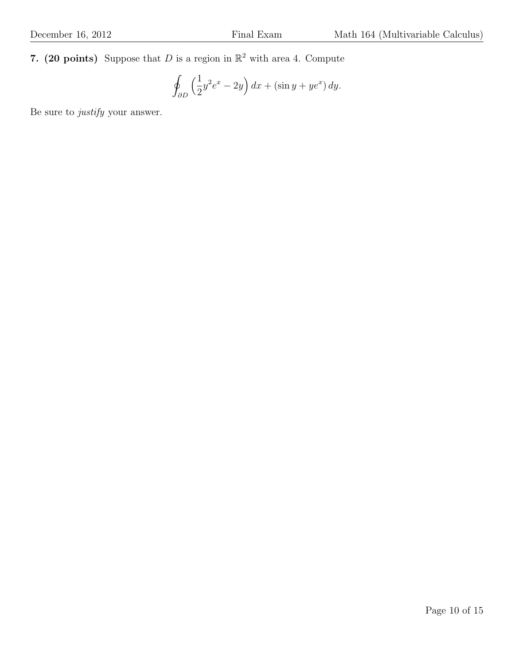7. (20 points) Suppose that D is a region in  $\mathbb{R}^2$  with area 4. Compute

$$
\oint_{\partial D} \left(\frac{1}{2}y^2 e^x - 2y\right) dx + (\sin y + ye^x) dy.
$$

Be sure to justify your answer.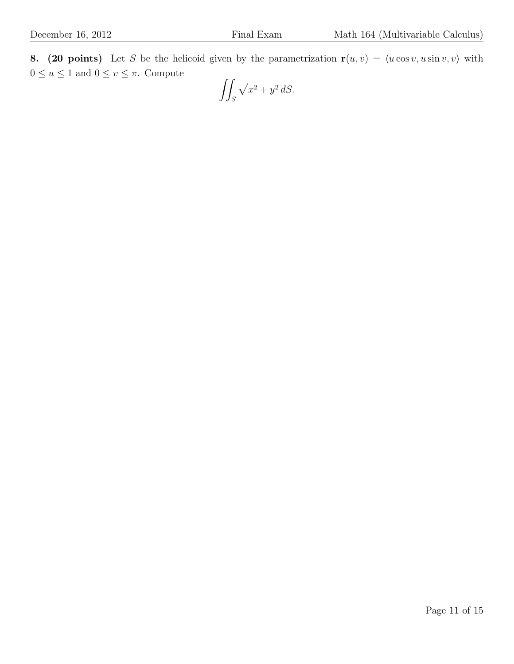8. (20 points) Let S be the helicoid given by the parametrization  $r(u, v) = \langle u \cos v, u \sin v, v \rangle$  with  $0\leq u\leq 1$  and  $0\leq v\leq \pi.$  Compute

$$
\iint_S \sqrt{x^2 + y^2} \, dS.
$$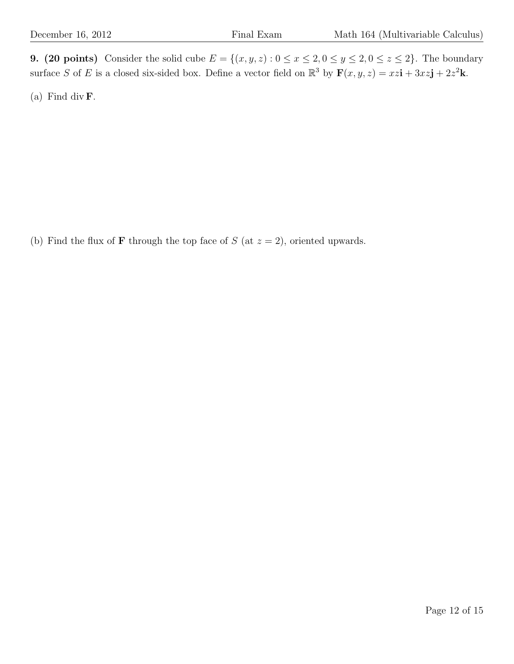9. (20 points) Consider the solid cube  $E = \{(x, y, z) : 0 \le x \le 2, 0 \le y \le 2, 0 \le z \le 2\}$ . The boundary surface S of E is a closed six-sided box. Define a vector field on  $\mathbb{R}^3$  by  $\mathbf{F}(x, y, z) = xz\mathbf{i} + 3xz\mathbf{j} + 2z^2\mathbf{k}$ .

(a) Find div  $\mathbf{F}$ .

(b) Find the flux of **F** through the top face of  $S$  (at  $z = 2$ ), oriented upwards.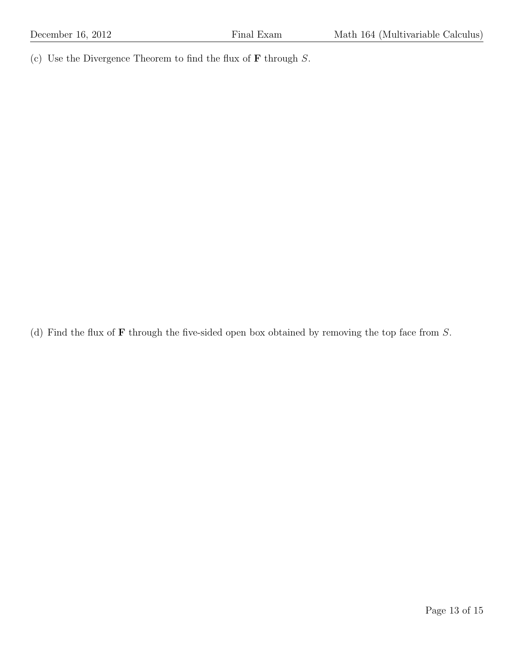(c) Use the Divergence Theorem to find the flux of  **through**  $S$ **.** 

(d) Find the flux of  **through the five-sided open box obtained by removing the top face from**  $S$ **.**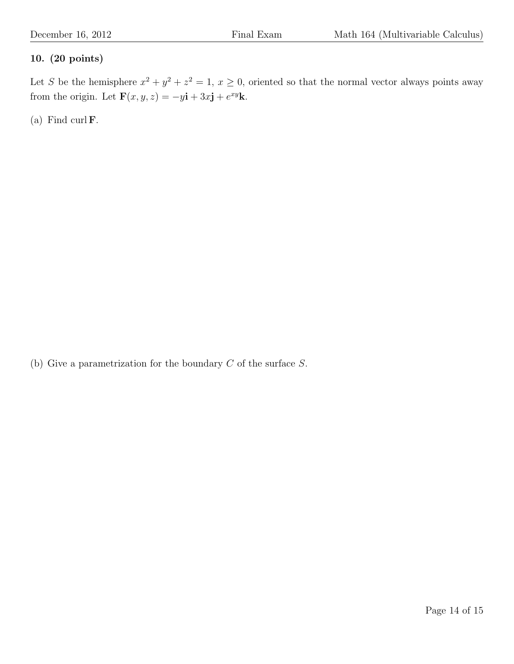## 10. (20 points)

Let S be the hemisphere  $x^2 + y^2 + z^2 = 1$ ,  $x \ge 0$ , oriented so that the normal vector always points away from the origin. Let  $\mathbf{F}(x, y, z) = -y\mathbf{i} + 3x\mathbf{j} + e^{xy}\mathbf{k}$ .

(a) Find curl  $\mathbf{F}$ .

(b) Give a parametrization for the boundary  $C$  of the surface  $S$ .